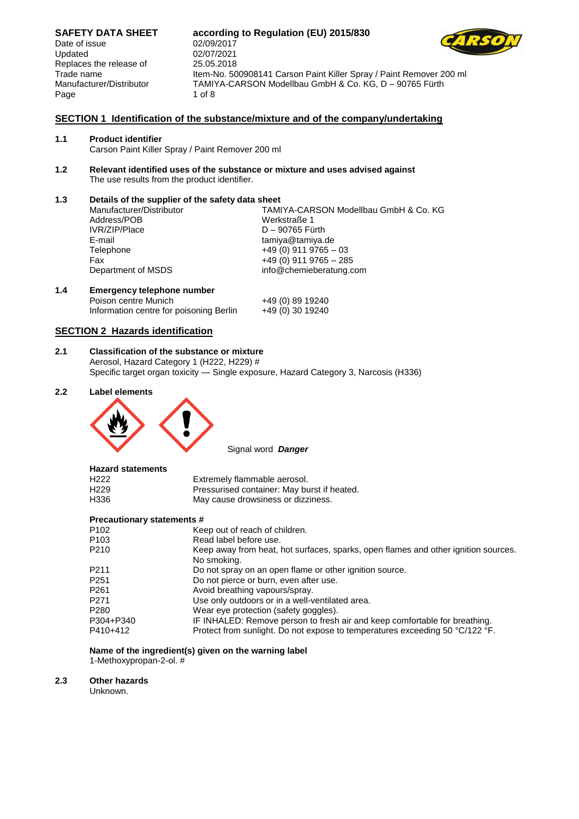Date of issue 02/09/2017 Updated 02/07/2021 Replaces the release of 25.05.2018 Page 1 of 8

# **SAFETY DATA SHEET according to Regulation (EU) 2015/830** Trade name Item-No. 500908141 Carson Paint Killer Spray / Paint Remover 200 ml Manufacturer/Distributor TAMIYA-CARSON Modellbau GmbH & Co. KG, D – 90765 Fürth



#### **1.1 Product identifier**

Carson Paint Killer Spray / Paint Remover 200 ml

**1.2 Relevant identified uses of the substance or mixture and uses advised against** The use results from the product identifier.

**1.3 Details of the supplier of the safety data sheet** Manufacturer/Distributor TAMIYA-CARSON Modellbau GmbH & Co. KG Address/POB Werkstraße 1 IVR/ZIP/Place D – 90765 Fürth<br>E-mail – tamiya@tamiya. tamiya@tamiya.de Telephone +49 (0) 911 9765 – 03<br>Fax +49 (0) 911 9765 – 28 Fax  $+49 (0) 911 9765 - 285$ <br>Department of MSDS info@chemieberatung.c info@chemieberatung.com **1.4 Emergency telephone number**

### **SECTION 2 Hazards identification**

**2.1 Classification of the substance or mixture** Aerosol, Hazard Category 1 (H222, H229) # Specific target organ toxicity — Single exposure, Hazard Category 3, Narcosis (H336)

Poison centre Munich +49 (0) 89 19240 Information centre for poisoning Berlin +49 (0) 30 19240

#### **2.2 Label elements**



Signal word *Danger*

| <b>Hazard statements</b> |                                             |
|--------------------------|---------------------------------------------|
| H <sub>222</sub>         | Extremely flammable aerosol.                |
| H <sub>229</sub>         | Pressurised container: May burst if heated. |
| H336                     | May cause drowsiness or dizziness.          |

#### **Precautionary statements #**

| P102             | Keep out of reach of children.                                                                    |
|------------------|---------------------------------------------------------------------------------------------------|
| P103             | Read label before use.                                                                            |
| P210             | Keep away from heat, hot surfaces, sparks, open flames and other ignition sources.<br>No smoking. |
| P <sub>211</sub> | Do not spray on an open flame or other ignition source.                                           |
| P251             | Do not pierce or burn, even after use.                                                            |
| P261             | Avoid breathing vapours/spray.                                                                    |
| P271             | Use only outdoors or in a well-ventilated area.                                                   |
| P280             | Wear eye protection (safety goggles).                                                             |
| P304+P340        | IF INHALED: Remove person to fresh air and keep comfortable for breathing.                        |
| P410+412         | Protect from sunlight. Do not expose to temperatures exceeding 50 °C/122 °F.                      |
|                  |                                                                                                   |

### **Name of the ingredient(s) given on the warning label**

1-Methoxypropan-2-ol. #

#### **2.3 Other hazards**

Unknown.

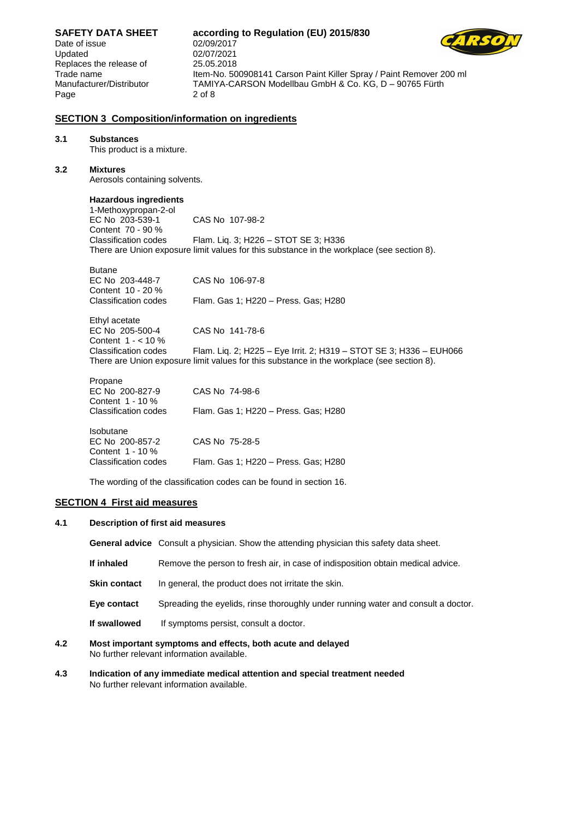**SAFETY DATA SHEET according to Regulation (EU) 2015/830** Date of issue 02/09/2017 Updated 02/07/2021 Replaces the release of 25.05.2018 Trade name Item-No. 500908141 Carson Paint Killer Spray / Paint Remover 200 ml Manufacturer/Distributor TAMIYA-CARSON Modellbau GmbH & Co. KG, D – 90765 Fürth Page 2 of 8 **SECTION 3 Composition/information on ingredients 3.1 Substances** This product is a mixture. **3.2 Mixtures** Aerosols containing solvents. **Hazardous ingredients** 1-Methoxypropan-2-ol EC No 203-539-1 CAS No 107-98-2 Content 70 - 90 %<br>Classification codes Flam. Liq. 3; H226 – STOT SE 3; H336 There are Union exposure limit values for this substance in the workplace (see section 8). Butane EC No 203-448-7 CAS No 106-97-8 Content 10 - 20 % Classification codes Flam. Gas 1; H220 – Press. Gas; H280 Ethyl acetate EC No 205-500-4 CAS No 141-78-6 Content 1 - < 10 % Classification codes Flam. Liq. 2; H225 – Eye Irrit. 2; H319 – STOT SE 3; H336 – EUH066 There are Union exposure limit values for this substance in the workplace (see section 8). Propane EC No 200-827-9 CAS No 74-98-6 Content 1 - 10 % Classification codes Flam. Gas 1; H220 – Press. Gas; H280 Isobutane EC No 200-857-2 CAS No 75-28-5

Classification codes Flam. Gas 1; H220 – Press. Gas; H280 The wording of the classification codes can be found in section 16.

#### **SECTION 4 First aid measures**

Content 1 - 10 %

#### **4.1 Description of first aid measures**

**General advice** Consult a physician. Show the attending physician this safety data sheet.

- **If inhaled** Remove the person to fresh air, in case of indisposition obtain medical advice.
- **Skin contact** In general, the product does not irritate the skin.
- **Eye contact** Spreading the eyelids, rinse thoroughly under running water and consult a doctor.
- **If swallowed** If symptoms persist, consult a doctor.
- **4.2 Most important symptoms and effects, both acute and delayed** No further relevant information available.
- **4.3 Indication of any immediate medical attention and special treatment needed** No further relevant information available.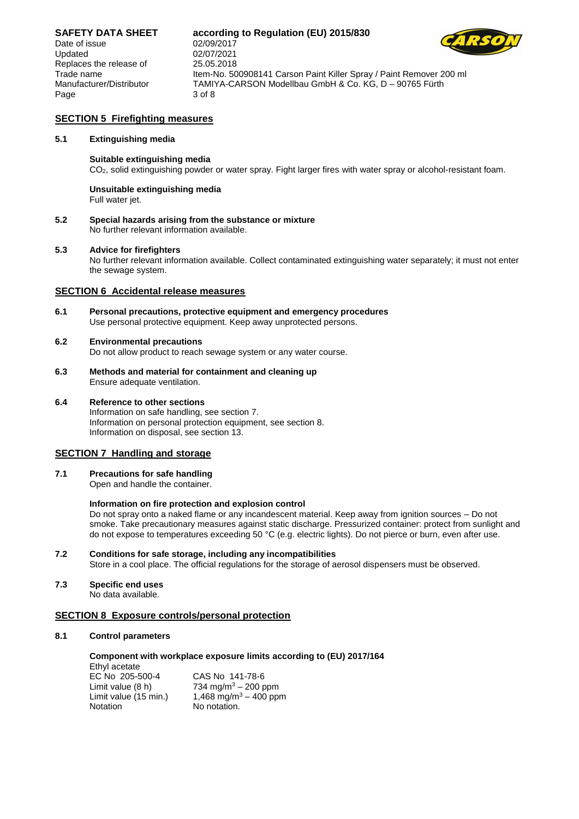Date of issue 02/09/2017 Updated 02/07/2021 Replaces the release of 25.05.2018 Page 3 of 8

### **SAFETY DATA SHEET according to Regulation (EU) 2015/830**



Trade name Item-No. 500908141 Carson Paint Killer Spray / Paint Remover 200 ml Manufacturer/Distributor TAMIYA-CARSON Modellbau GmbH & Co. KG, D – 90765 Fürth

#### **SECTION 5 Firefighting measures**

#### **5.1 Extinguishing media**

#### **Suitable extinguishing media**

CO2, solid extinguishing powder or water spray. Fight larger fires with water spray or alcohol-resistant foam.

### **Unsuitable extinguishing media**

Full water jet.

**5.2 Special hazards arising from the substance or mixture** No further relevant information available.

#### **5.3 Advice for firefighters**

No further relevant information available. Collect contaminated extinguishing water separately; it must not enter the sewage system.

#### **SECTION 6 Accidental release measures**

**6.1 Personal precautions, protective equipment and emergency procedures** Use personal protective equipment. Keep away unprotected persons.

#### **6.2 Environmental precautions**

Do not allow product to reach sewage system or any water course.

**6.3 Methods and material for containment and cleaning up** Ensure adequate ventilation.

#### **6.4 Reference to other sections**

Information on safe handling, see section 7. Information on personal protection equipment, see section 8. Information on disposal, see section 13.

#### **SECTION 7 Handling and storage**

**7.1 Precautions for safe handling**

Open and handle the container.

#### **Information on fire protection and explosion control**

Do not spray onto a naked flame or any incandescent material. Keep away from ignition sources – Do not smoke. Take precautionary measures against static discharge. Pressurized container: protect from sunlight and do not expose to temperatures exceeding 50 °C (e.g. electric lights). Do not pierce or burn, even after use.

- **7.2 Conditions for safe storage, including any incompatibilities** Store in a cool place. The official regulations for the storage of aerosol dispensers must be observed.
- **7.3 Specific end uses**

No data available.

#### **SECTION 8 Exposure controls/personal protection**

#### **8.1 Control parameters**

**Component with workplace exposure limits according to (EU) 2017/164**

| Ethyl acetate         |                                   |
|-----------------------|-----------------------------------|
| EC No 205-500-4       | CAS No 141-78-6                   |
| Limit value (8 h)     | 734 mg/m <sup>3</sup> – 200 ppm   |
| Limit value (15 min.) | 1,468 mg/m <sup>3</sup> – 400 ppm |
| Notation              | No notation.                      |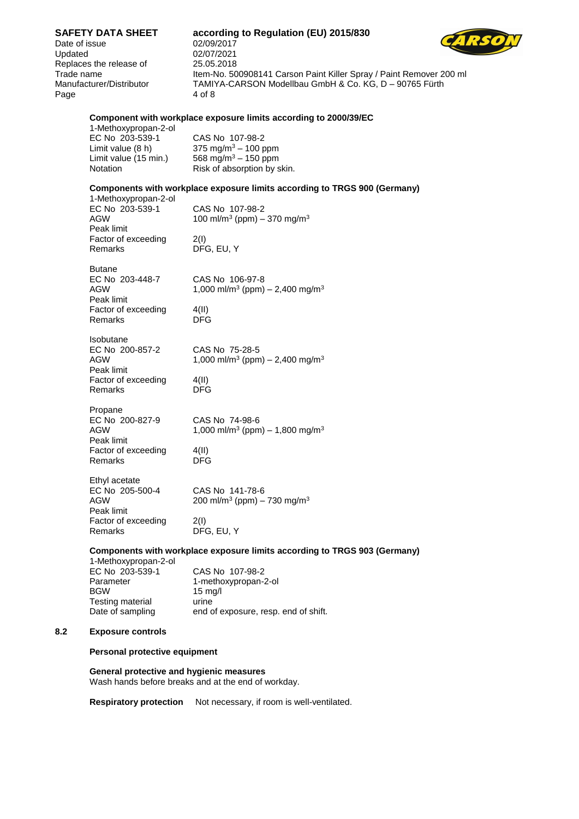**SAFETY DATA SHEET according to Regulation (EU) 2015/830** Date of issue 02/09/2017 Updated 02/07/2021 Replaces the release of 25.05.2018 Trade name Item-No. 500908141 Carson Paint Killer Spray / Paint Remover 200 ml Manufacturer/Distributor TAMIYA-CARSON Modellbau GmbH & Co. KG, D – 90765 Fürth Page 4 of 8 **Component with workplace exposure limits according to 2000/39/EC** 1-Methoxypropan-2-ol EC No 203-539-1 CAS No 107-98-2<br>
Limit value (8 h) 375 mg/m<sup>3</sup> – 100 p Limit value (8 h)  $375 \text{ mg/m}^3 - 100 \text{ ppm}$ <br>Limit value (15 min.)  $568 \text{ mg/m}^3 - 150 \text{ ppm}$  $568 \text{ mg/m}^3 - 150 \text{ ppm}$ Notation Risk of absorption by skin. **Components with workplace exposure limits according to TRGS 900 (Germany)** 1-Methoxypropan-2-ol CAS No 107-98-2  $\rm{AGW} \qquad \qquad 100 \ \rm{m} / \rm{m}^3 \ (\rm{ppm}) - 370 \ \rm{mg} / \rm{m}^3$ Peak limit Factor of exceeding 2(I)<br>Remarks DF DFG, EU, Y Butane EC No 203-448-7 CAS No 106-97-8  ${\rm AGW} \hspace{1cm} 1,000 \; {\rm ml/m^3} \; ({\rm ppm}) - 2,400 \; {\rm mg/m^3}$ Peak limit Factor of exceeding 4(II) Remarks DFG Isobutane EC No 200-857-2 CAS No 75-28-5  $\mathsf{AGW} \qquad \qquad \qquad \mathsf{1,000 \; m}$ l/m $^3$  (ppm)  $-$  2,400 mg/m $^3$ Peak limit Factor of exceeding 4(II) Remarks DFG Propane EC No 200-827-9 CAS No 74-98-6<br>AGW 1,000 ml/m<sup>3</sup> (ppm  $\mathsf{AGW} \hspace{1cm} 1,\0$ 00 ml/m $^3$  (ppm)  $-$  1,800 mg/m $^3$ Peak limit Factor of exceeding 4(II) Remarks DFG Ethyl acetate EC No 205-500-4 CAS No 141-78-6<br>AGW 200 ml/m<sup>3</sup> (ppm) –  $\rm{AGW}$  . The same  $\rm{200~ml/m^3}$  (ppm)  $\rm{-}$  730 mg/m<sup>3</sup> Peak limit Factor of exceeding 2(I) Remarks DFG, EU, Y **Components with workplace exposure limits according to TRGS 903 (Germany)** 1-Methoxypropan-2-ol EC No 203-539-1 CAS No 107-98-2 Parameter 1-methoxypropan-2-ol BGW 15 mg/l Testing material urine Date of sampling end of exposure, resp. end of shift. **8.2 Exposure controls Personal protective equipment**

**General protective and hygienic measures** Wash hands before breaks and at the end of workday.

**Respiratory protection** Not necessary, if room is well-ventilated.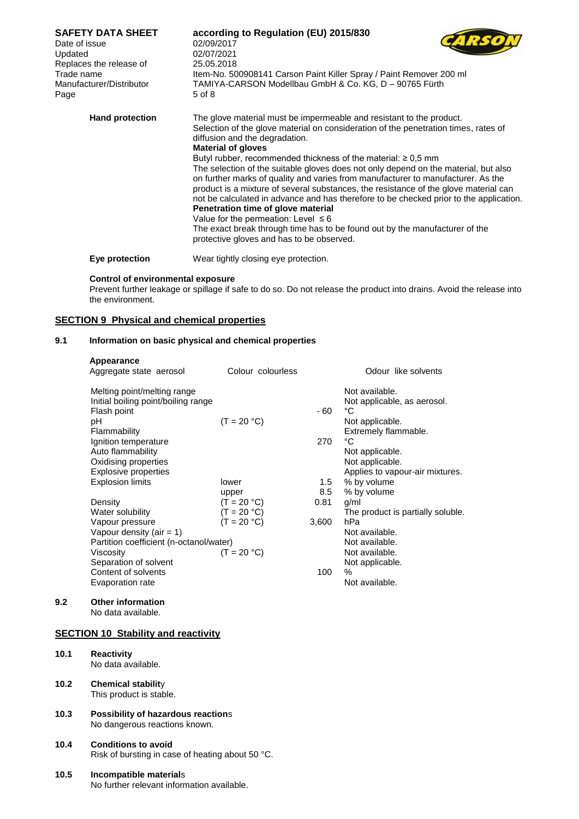| <b>SAFETY DATA SHEET</b><br>Date of issue<br>Updated<br>Replaces the release of<br>Trade name<br>Manufacturer/Distributor<br>Page | according to Regulation (EU) 2015/830<br>02/09/2017<br>02/07/2021<br>25.05.2018<br>Item-No. 500908141 Carson Paint Killer Spray / Paint Remover 200 ml<br>TAMIYA-CARSON Modellbau GmbH & Co. KG, D - 90765 Fürth<br>5 of 8                                                                                                                                                                                                                                                                                                                                                                                                                                                                                                                                                                                                                                                  |
|-----------------------------------------------------------------------------------------------------------------------------------|-----------------------------------------------------------------------------------------------------------------------------------------------------------------------------------------------------------------------------------------------------------------------------------------------------------------------------------------------------------------------------------------------------------------------------------------------------------------------------------------------------------------------------------------------------------------------------------------------------------------------------------------------------------------------------------------------------------------------------------------------------------------------------------------------------------------------------------------------------------------------------|
| <b>Hand protection</b>                                                                                                            | The glove material must be impermeable and resistant to the product.<br>Selection of the glove material on consideration of the penetration times, rates of<br>diffusion and the degradation.<br><b>Material of gloves</b><br>Butyl rubber, recommended thickness of the material: $\geq 0.5$ mm<br>The selection of the suitable gloves does not only depend on the material, but also<br>on further marks of quality and varies from manufacturer to manufacturer. As the<br>product is a mixture of several substances, the resistance of the glove material can<br>not be calculated in advance and has therefore to be checked prior to the application.<br>Penetration time of glove material<br>Value for the permeation: Level $\leq 6$<br>The exact break through time has to be found out by the manufacturer of the<br>protective gloves and has to be observed. |
|                                                                                                                                   |                                                                                                                                                                                                                                                                                                                                                                                                                                                                                                                                                                                                                                                                                                                                                                                                                                                                             |

**Eye protection** Wear tightly closing eye protection.

#### **Control of environmental exposure**

Prevent further leakage or spillage if safe to do so. Do not release the product into drains. Avoid the release into the environment.

#### **SECTION 9 Physical and chemical properties**

#### **9.1 Information on basic physical and chemical properties**

| Appearance<br>Aggregate state aerosol                                                                                                                                        | Colour colourless |             | Odour like solvents                                                                                                                        |
|------------------------------------------------------------------------------------------------------------------------------------------------------------------------------|-------------------|-------------|--------------------------------------------------------------------------------------------------------------------------------------------|
| Melting point/melting range<br>Initial boiling point/boiling range<br>Flash point<br>рH<br>Flammability<br>Ignition temperature<br>Auto flammability<br>Oxidising properties | $(T = 20 °C)$     | - 60<br>270 | Not available.<br>Not applicable, as aerosol.<br>°C<br>Not applicable.<br>Extremely flammable.<br>°C<br>Not applicable.<br>Not applicable. |
| Explosive properties<br><b>Explosion limits</b>                                                                                                                              | lower             | 1.5         | Applies to vapour-air mixtures.<br>% by volume                                                                                             |
|                                                                                                                                                                              | upper             | 8.5         | % by volume                                                                                                                                |
| Density                                                                                                                                                                      | $(T = 20 °C)$     | 0.81        | g/ml                                                                                                                                       |
| Water solubility                                                                                                                                                             | $(T = 20 °C)$     |             | The product is partially soluble.                                                                                                          |
| Vapour pressure                                                                                                                                                              | $(T = 20 °C)$     | 3,600       | hPa                                                                                                                                        |
| Vapour density (air = $1$ )                                                                                                                                                  |                   |             | Not available.                                                                                                                             |
| Partition coefficient (n-octanol/water)                                                                                                                                      |                   |             | Not available.                                                                                                                             |
| Viscosity                                                                                                                                                                    | $(T = 20 °C)$     |             | Not available.                                                                                                                             |
| Separation of solvent                                                                                                                                                        |                   |             | Not applicable.                                                                                                                            |
| Content of solvents                                                                                                                                                          |                   | 100         | $\%$                                                                                                                                       |
| Evaporation rate                                                                                                                                                             |                   |             | Not available.                                                                                                                             |
|                                                                                                                                                                              |                   |             |                                                                                                                                            |

### **9.2 Other information**

No data available.

### **SECTION 10 Stability and reactivity**

- **10.1 Reactivity**
	- No data available.
- **10.2 Chemical stabilit**y This product is stable.
- **10.3 Possibility of hazardous reaction**s No dangerous reactions known.

#### **10.4 Conditions to avoid** Risk of bursting in case of heating about 50 °C.

#### **10.5 Incompatible material**s

No further relevant information available.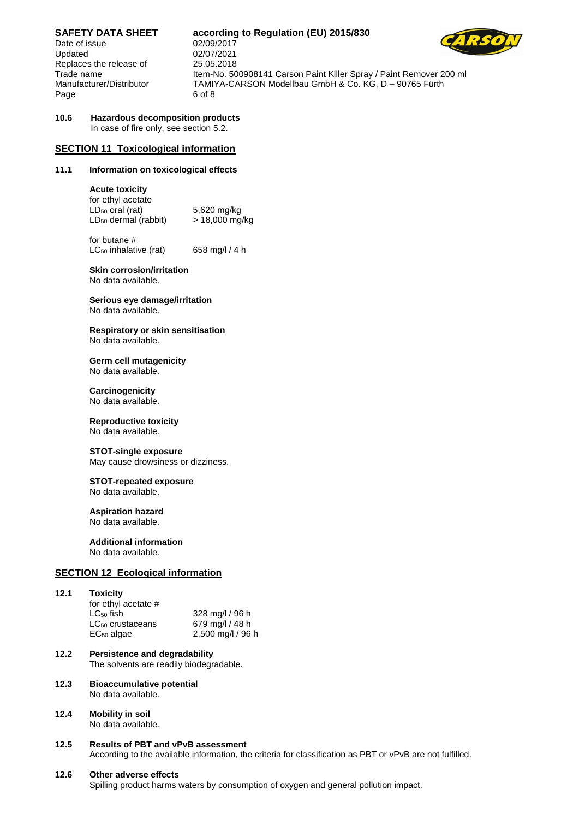Date of issue 02/09/2017 Updated 02/07/2021 Replaces the release of 25.05.2018 Page 6 of 8

### **SAFETY DATA SHEET according to Regulation (EU) 2015/830**

Trade name Item-No. 500908141 Carson Paint Killer Spray / Paint Remover 200 ml Manufacturer/Distributor TAMIYA-CARSON Modellbau GmbH & Co. KG, D - 90765 Fürth

#### **10.6 Hazardous decomposition products** In case of fire only, see section 5.2.

#### **SECTION 11 Toxicological information**

#### **11.1 Information on toxicological effects**

#### **Acute toxicity**

| for ethyl acetate                |                |
|----------------------------------|----------------|
| LD <sub>50</sub> oral (rat)      | 5,620 mg/kg    |
| LD <sub>50</sub> dermal (rabbit) | > 18,000 mg/kg |

for butane #  $LC_{50}$  inhalative (rat) 658 mg/l / 4 h

**Skin corrosion/irritation** No data available.

**Serious eye damage/irritation** No data available.

**Respiratory or skin sensitisation** No data available.

#### **Germ cell mutagenicity** No data available.

**Carcinogenicity** No data available.

### **Reproductive toxicity**

No data available.

#### **STOT-single exposure**

May cause drowsiness or dizziness.

#### **STOT-repeated exposure**

No data available.

### **Aspiration hazard**

No data available.

#### **Additional information**

No data available.

#### **SECTION 12 Ecological information**

#### **12.1 Toxicity** for ethyl acetate # LC<sup>50</sup> fish 328 mg/l / 96 h LC<sub>50</sub> crustaceans 679 mg/l / 48 h EC<sup>50</sup> algae 2,500 mg/l / 96 h

- **12.2 Persistence and degradability** The solvents are readily biodegradable.
- **12.3 Bioaccumulative potential** No data available.

#### **12.4 Mobility in soil** No data available.

#### **12.5 Results of PBT and vPvB assessment** According to the available information, the criteria for classification as PBT or vPvB are not fulfilled.

#### **12.6 Other adverse effects**

Spilling product harms waters by consumption of oxygen and general pollution impact.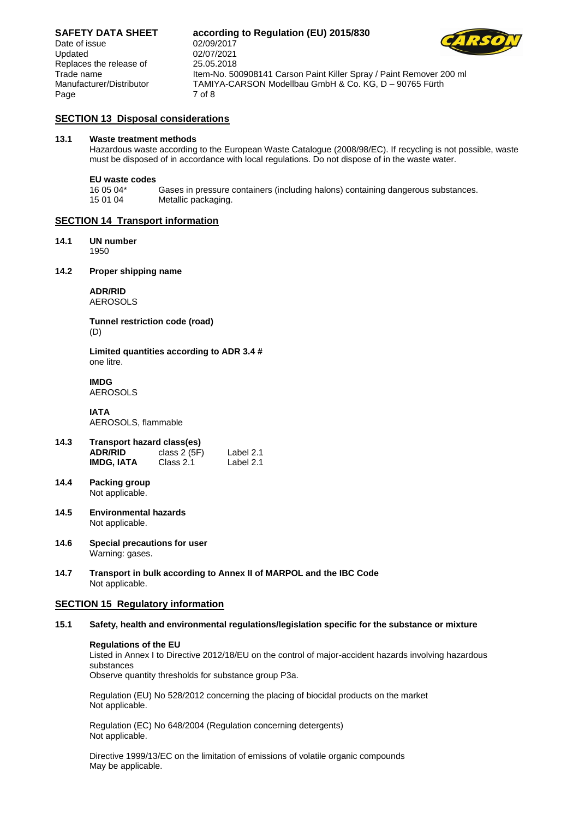**SAFETY DATA SHEET according to Regulation (EU) 2015/830**

Date of issue 02/09/2017 Updated 02/07/2021 Replaces the release of 25.05.2018 Page 7 of 8

Trade name Item-No. 500908141 Carson Paint Killer Spray / Paint Remover 200 ml Manufacturer/Distributor TAMIYA-CARSON Modellbau GmbH & Co. KG, D – 90765 Fürth

#### **SECTION 13 Disposal considerations**

#### **13.1 Waste treatment methods**

Hazardous waste according to the European Waste Catalogue (2008/98/EC). If recycling is not possible, waste must be disposed of in accordance with local regulations. Do not dispose of in the waste water.

## **EU waste codes**

16 05 04\* Gases in pressure containers (including halons) containing dangerous substances. Metallic packaging.

#### **SECTION 14 Transport information**

#### **14.1 UN number**

1950

#### **14.2 Proper shipping name**

**ADR/RID** AEROSOLS

**Tunnel restriction code (road)** (D)

**Limited quantities according to ADR 3.4 #** one litre.

**IMDG** AEROSOLS

**IATA** AEROSOLS, flammable

- **14.3 Transport hazard class(es) ADR/RID** class 2 (5F) Label 2.1<br>**IMDG, IATA** Class 2.1 Label 2.1 **IMDG, IATA**
- **14.4 Packing group** Not applicable.
- **14.5 Environmental hazards** Not applicable.
- **14.6 Special precautions for user** Warning: gases.
- **14.7 Transport in bulk according to Annex II of MARPOL and the IBC Code** Not applicable.

#### **SECTION 15 Regulatory information**

#### **15.1 Safety, health and environmental regulations/legislation specific for the substance or mixture**

#### **Regulations of the EU**

Listed in Annex I to Directive 2012/18/EU on the control of major-accident hazards involving hazardous substances

Observe quantity thresholds for substance group P3a.

Regulation (EU) No 528/2012 concerning the placing of biocidal products on the market Not applicable.

Regulation (EC) No 648/2004 (Regulation concerning detergents) Not applicable.

Directive 1999/13/EC on the limitation of emissions of volatile organic compounds May be applicable.